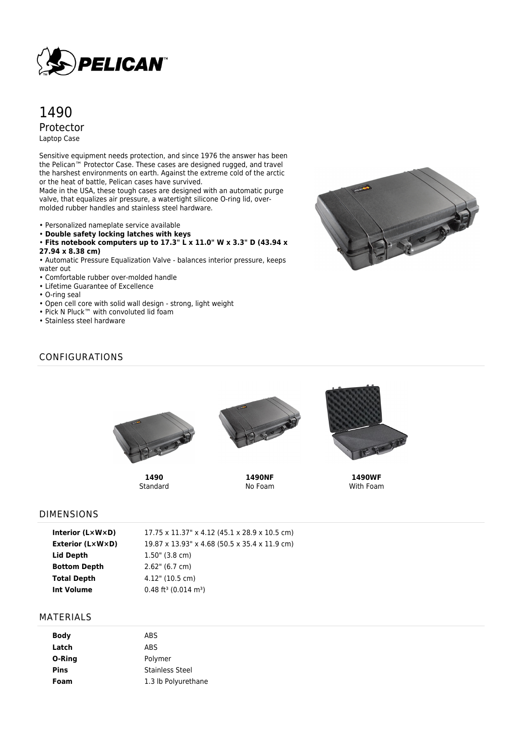

# 1490 Protector Laptop Case

Sensitive equipment needs protection, and since 1976 the answer has been the Pelican™ Protector Case. These cases are designed rugged, and travel the harshest environments on earth. Against the extreme cold of the arctic or the heat of battle, Pelican cases have survived.

Made in the USA, these tough cases are designed with an automatic purge valve, that equalizes air pressure, a watertight silicone O-ring lid, overmolded rubber handles and stainless steel hardware.

- Personalized nameplate service available
- **Double safety locking latches with keys**
- **Fits notebook computers up to 17.3" L x 11.0" W x 3.3" D (43.94 x 27.94 x 8.38 cm)**
- 

• Automatic Pressure Equalization Valve - balances interior pressure, keeps water out

- Comfortable rubber over-molded handle
- Lifetime Guarantee of Excellence
- O-ring seal
- Open cell core with solid wall design strong, light weight
- Pick N Pluck™ with convoluted lid foam
- Stainless steel hardware

# J

### CONFIGURATIONS



**1490** Standard



**1490NF** No Foam



**1490WF** With Foam

### DIMENSIONS

| Interior (L×W×D)    | 17.75 x 11.37" x 4.12 (45.1 x 28.9 x 10.5 cm)  |
|---------------------|------------------------------------------------|
| Exterior (L×W×D)    | 19.87 x 13.93" x 4.68 (50.5 x 35.4 x 11.9 cm)  |
| Lid Depth           | $1.50$ " (3.8 cm)                              |
| <b>Bottom Depth</b> | $2.62$ " (6.7 cm)                              |
| Total Depth         | $4.12"$ (10.5 cm)                              |
| Int Volume          | $0.48$ ft <sup>3</sup> (0.014 m <sup>3</sup> ) |

### MATERIALS

| <b>Body</b> | ABS                    |
|-------------|------------------------|
| Latch       | <b>ABS</b>             |
| O-Ring      | Polymer                |
| <b>Pins</b> | <b>Stainless Steel</b> |
| Foam        | 1.3 lb Polyurethane    |
|             |                        |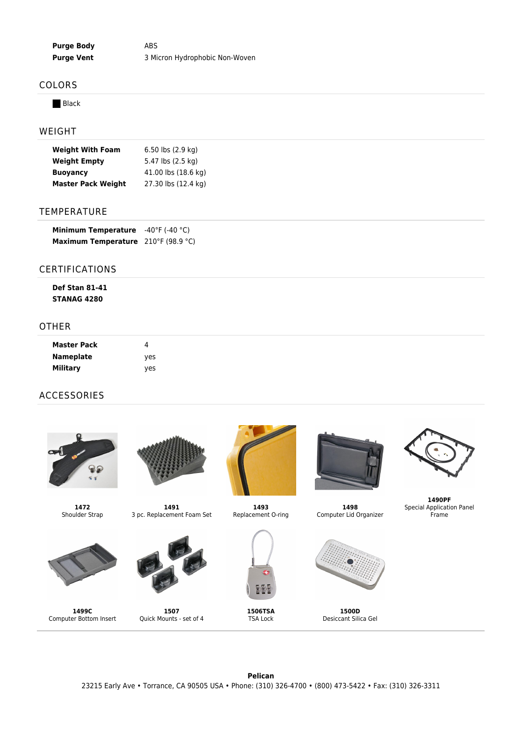**Purge Body** ABS **Purge Vent** 3 Micron Hydrophobic Non-Woven

### COLORS

**Black** 

### WEIGHT

| <b>Weight With Foam</b>   | $6.50$ lbs $(2.9 \text{ kg})$ |  |  |
|---------------------------|-------------------------------|--|--|
| <b>Weight Empty</b>       | 5.47 lbs (2.5 kg)             |  |  |
| <b>Buovancy</b>           | 41.00 lbs (18.6 kg)           |  |  |
| <b>Master Pack Weight</b> | 27.30 lbs (12.4 kg)           |  |  |

### TEMPERATURE

| <b>Minimum Temperature</b> | -40°F (-40 °C)  |
|----------------------------|-----------------|
| Maximum Temperature        | 210°F (98.9 °C) |

### CERTIFICATIONS

| <b>Def Stan 81-41</b> |  |  |  |
|-----------------------|--|--|--|
| <b>STANAG 4280</b>    |  |  |  |

### OTHER

| <b>Master Pack</b> |            |  |
|--------------------|------------|--|
| <b>Nameplate</b>   | <b>ves</b> |  |
| <b>Military</b>    | yes        |  |

## ACCESSORIES





**1499C** Computer Bottom Insert



**1491** 3 pc. Replacement Foam Set



**1507** Quick Mounts - set of 4



**1493** Replacement O-ring



**1506TSA** TSA Lock



**1498** Computer Lid Organizer



**1500D** Desiccant Silica Gel



**1490PF** Special Application Panel Frame